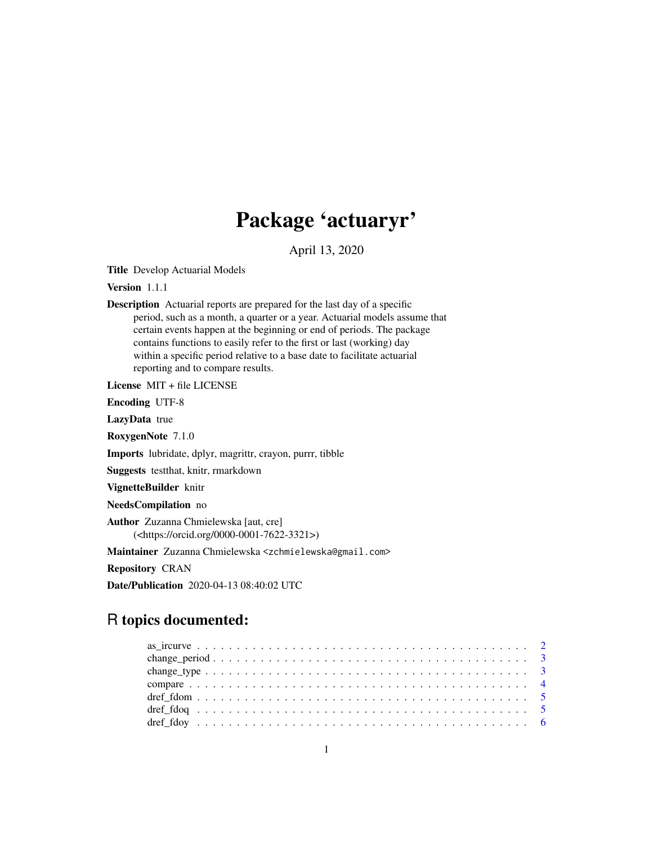## Package 'actuaryr'

April 13, 2020

Title Develop Actuarial Models

Version 1.1.1

Description Actuarial reports are prepared for the last day of a specific period, such as a month, a quarter or a year. Actuarial models assume that certain events happen at the beginning or end of periods. The package contains functions to easily refer to the first or last (working) day within a specific period relative to a base date to facilitate actuarial reporting and to compare results.

License MIT + file LICENSE

Encoding UTF-8

LazyData true

RoxygenNote 7.1.0

Imports lubridate, dplyr, magrittr, crayon, purrr, tibble

Suggests testthat, knitr, rmarkdown

VignetteBuilder knitr

NeedsCompilation no

Author Zuzanna Chmielewska [aut, cre] (<https://orcid.org/0000-0001-7622-3321>)

Maintainer Zuzanna Chmielewska <zchmielewska@gmail.com>

Repository CRAN

Date/Publication 2020-04-13 08:40:02 UTC

### R topics documented: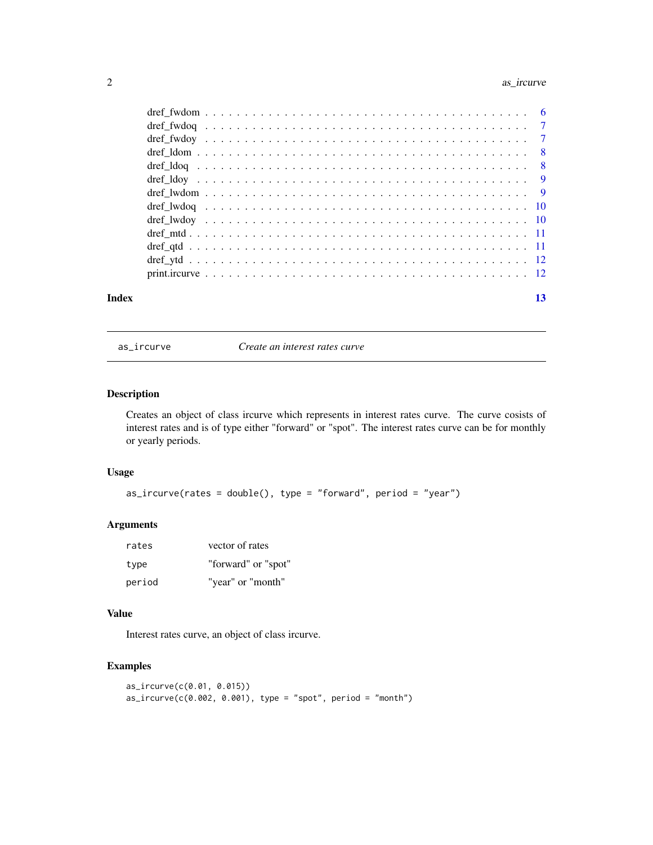#### <span id="page-1-0"></span>2 as\_ircurve ass\_ircurve

| Index | 13 |
|-------|----|

as\_ircurve *Create an interest rates curve*

#### Description

Creates an object of class ircurve which represents in interest rates curve. The curve cosists of interest rates and is of type either "forward" or "spot". The interest rates curve can be for monthly or yearly periods.

#### Usage

as\_ircurve(rates = double(), type = "forward", period = "year")

#### Arguments

| rates  | vector of rates     |
|--------|---------------------|
| type   | "forward" or "spot" |
| period | "year" or "month"   |

#### Value

Interest rates curve, an object of class ircurve.

#### Examples

```
as_ircurve(c(0.01, 0.015))
as\_ircurve(c(0.002, 0.001), type = "spot", period = "month")
```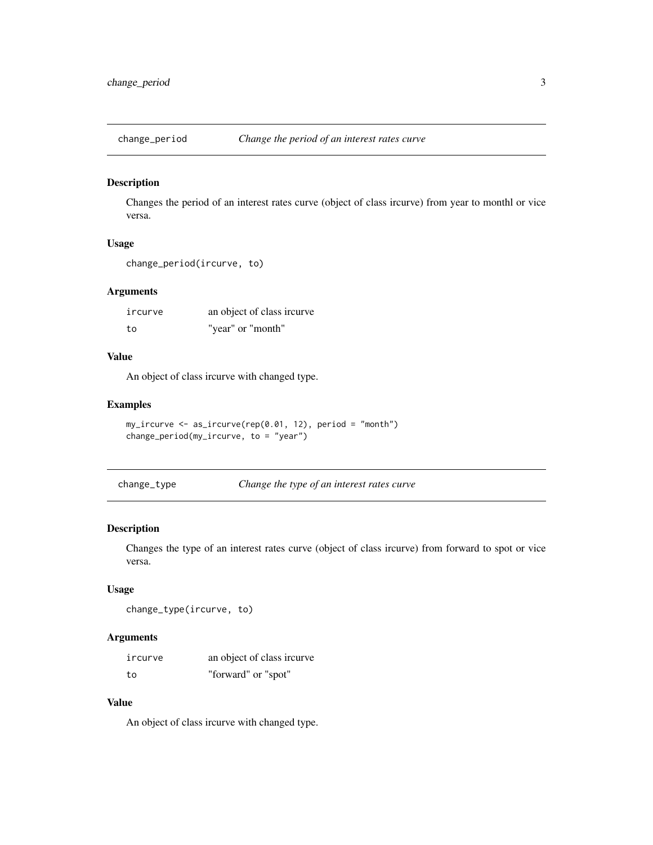<span id="page-2-0"></span>

Changes the period of an interest rates curve (object of class ircurve) from year to monthl or vice versa.

#### Usage

```
change_period(ircurve, to)
```
#### Arguments

| ircurve | an object of class ircurve |
|---------|----------------------------|
| to      | "year" or "month"          |

#### Value

An object of class ircurve with changed type.

#### Examples

```
my_ircurve <- as_ircurve(rep(0.01, 12), period = "month")
change_period(my_ircurve, to = "year")
```

| Change the type of an interest rates curve<br>change_type |  |  |  |  |
|-----------------------------------------------------------|--|--|--|--|
|-----------------------------------------------------------|--|--|--|--|

#### Description

Changes the type of an interest rates curve (object of class ircurve) from forward to spot or vice versa.

#### Usage

```
change_type(ircurve, to)
```
#### Arguments

| ircurve | an object of class ircurve |
|---------|----------------------------|
| to      | "forward" or "spot"        |

#### Value

An object of class ircurve with changed type.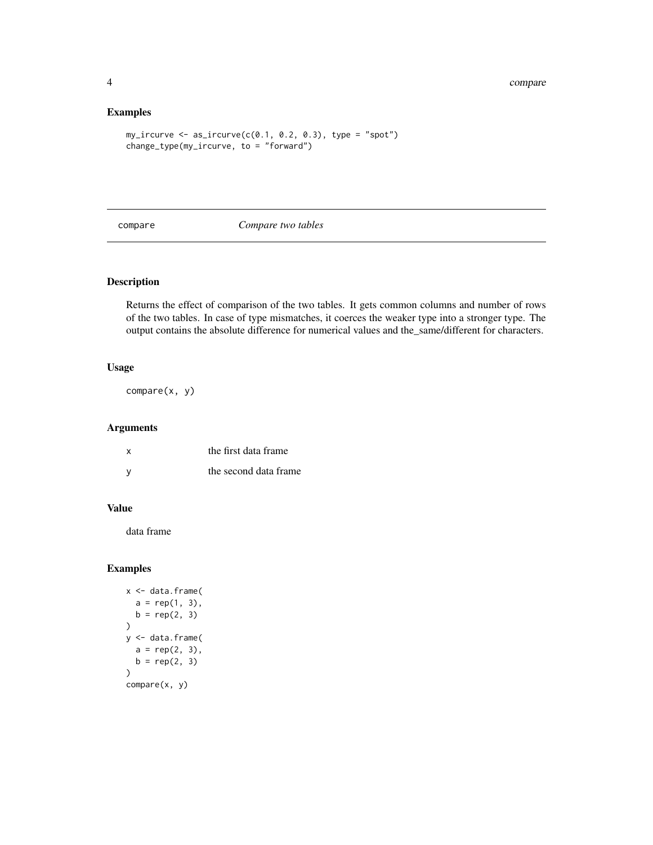#### Examples

```
my\_ircurve \leftarrow a s\_ircurve(c(0.1, 0.2, 0.3), type = "spot")change_type(my_ircurve, to = "forward")
```
compare *Compare two tables*

#### Description

Returns the effect of comparison of the two tables. It gets common columns and number of rows of the two tables. In case of type mismatches, it coerces the weaker type into a stronger type. The output contains the absolute difference for numerical values and the\_same/different for characters.

#### Usage

compare(x, y)

#### Arguments

| X | the first data frame  |
|---|-----------------------|
|   | the second data frame |

#### Value

data frame

#### Examples

```
x <- data.frame(
 a = rep(1, 3),b = rep(2, 3))
y <- data.frame(
 a = rep(2, 3),b = rep(2, 3))
compare(x, y)
```
<span id="page-3-0"></span>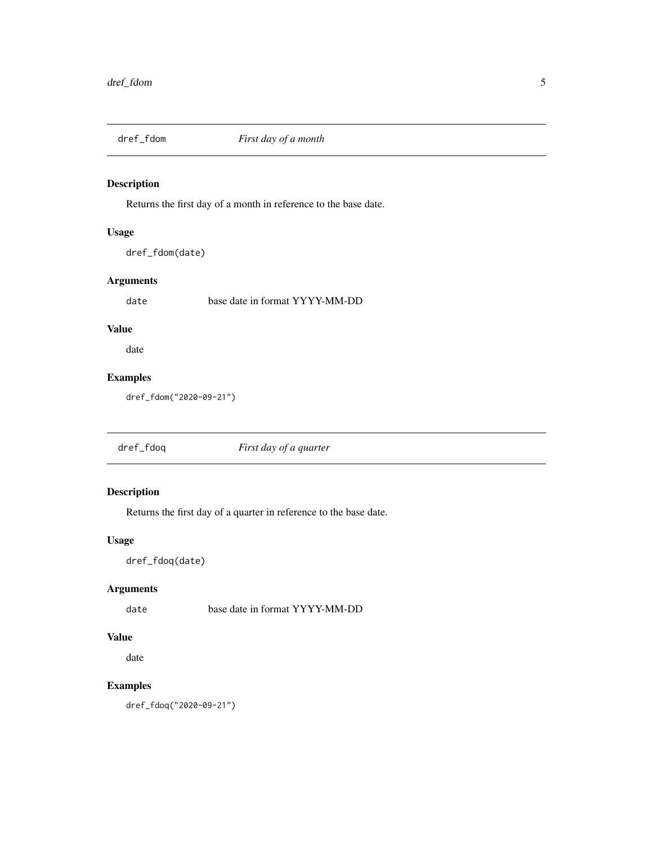<span id="page-4-0"></span>

Returns the first day of a month in reference to the base date.

#### Usage

dref\_fdom(date)

#### Arguments

date base date in format YYYY-MM-DD

#### Value

date

#### Examples

dref\_fdom("2020-09-21")

dref\_fdoq *First day of a quarter*

#### Description

Returns the first day of a quarter in reference to the base date.

#### Usage

dref\_fdoq(date)

#### Arguments

date base date in format YYYY-MM-DD

#### Value

date

#### Examples

dref\_fdoq("2020-09-21")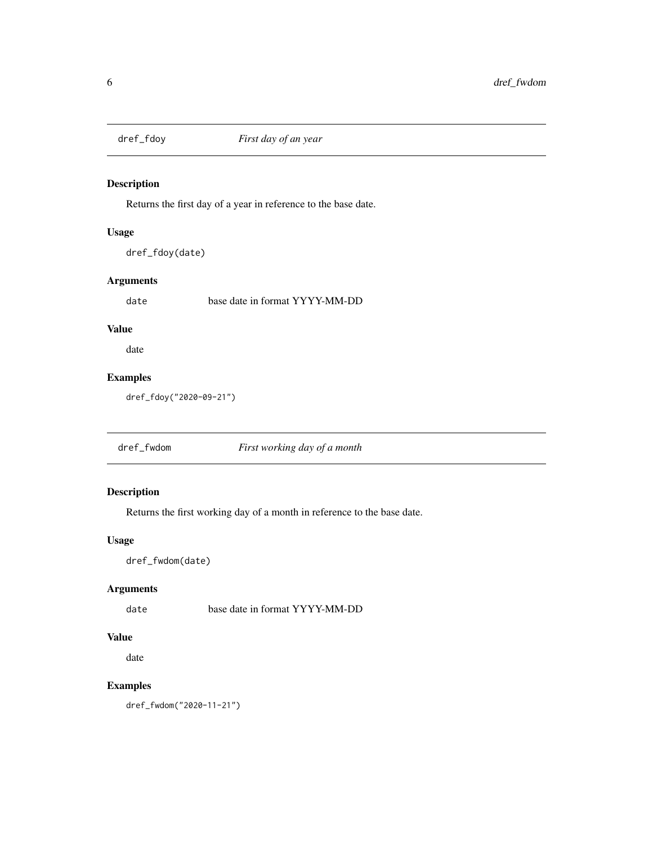<span id="page-5-0"></span>

Returns the first day of a year in reference to the base date.

#### Usage

dref\_fdoy(date)

#### Arguments

date base date in format YYYY-MM-DD

#### Value

date

#### Examples

dref\_fdoy("2020-09-21")

dref\_fwdom *First working day of a month*

#### Description

Returns the first working day of a month in reference to the base date.

#### Usage

dref\_fwdom(date)

#### Arguments

date base date in format YYYY-MM-DD

#### Value

date

#### Examples

dref\_fwdom("2020-11-21")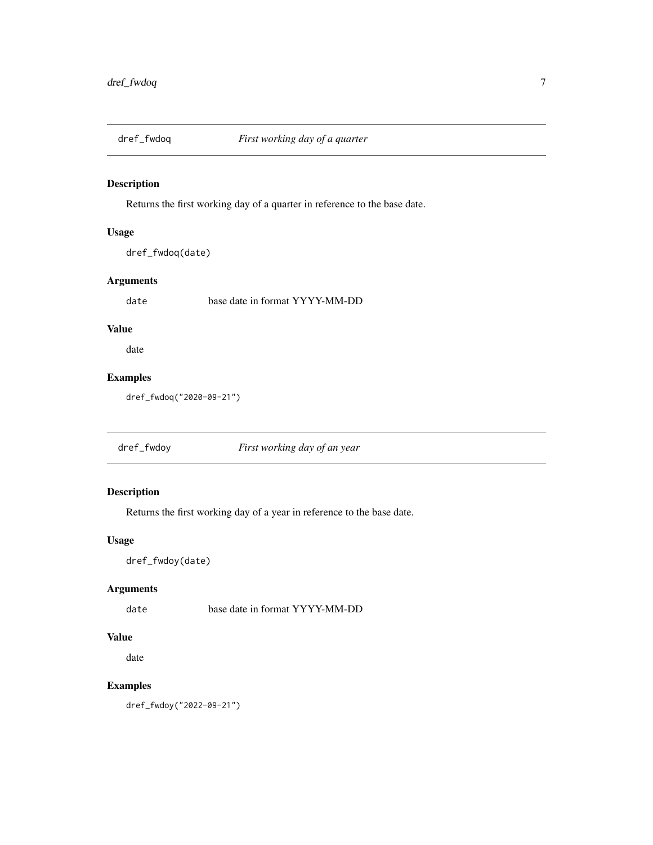<span id="page-6-0"></span>

Returns the first working day of a quarter in reference to the base date.

#### Usage

```
dref_fwdoq(date)
```
#### Arguments

date base date in format YYYY-MM-DD

#### Value

date

#### Examples

dref\_fwdoq("2020-09-21")

dref\_fwdoy *First working day of an year*

#### Description

Returns the first working day of a year in reference to the base date.

#### Usage

dref\_fwdoy(date)

#### Arguments

date base date in format YYYY-MM-DD

#### Value

date

#### Examples

dref\_fwdoy("2022-09-21")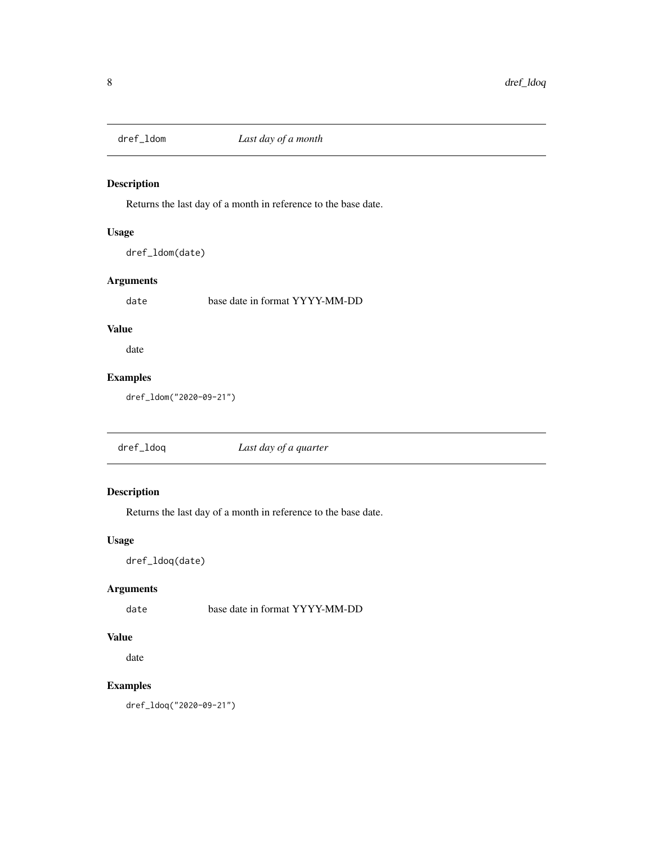<span id="page-7-0"></span>

Returns the last day of a month in reference to the base date.

#### Usage

dref\_ldom(date)

#### Arguments

date base date in format YYYY-MM-DD

#### Value

date

#### Examples

dref\_ldom("2020-09-21")

dref\_ldoq *Last day of a quarter*

#### Description

Returns the last day of a month in reference to the base date.

#### Usage

dref\_ldoq(date)

#### Arguments

date base date in format YYYY-MM-DD

#### Value

date

#### Examples

dref\_ldoq("2020-09-21")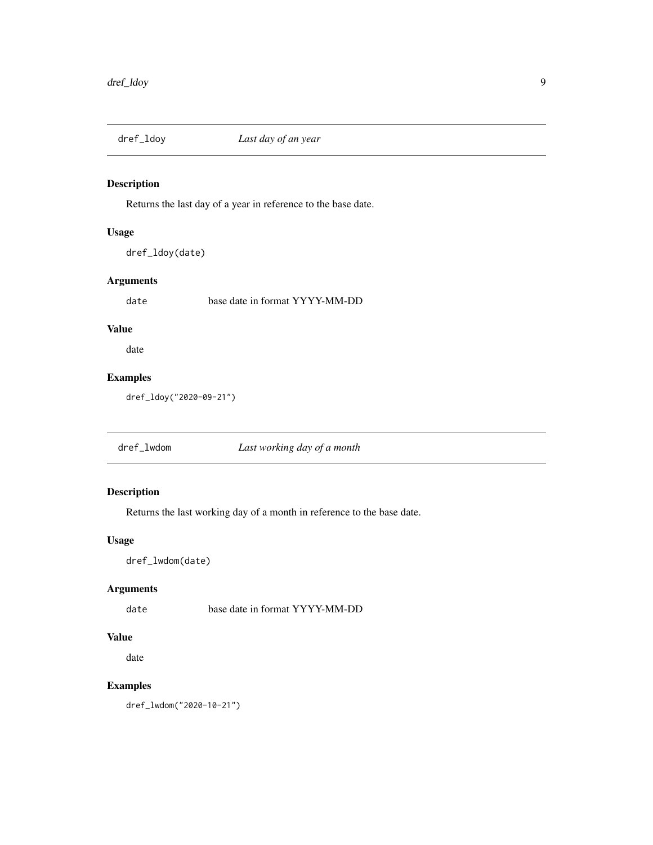<span id="page-8-0"></span>

Returns the last day of a year in reference to the base date.

#### Usage

```
dref_ldoy(date)
```
#### Arguments

date base date in format YYYY-MM-DD

#### Value

date

#### Examples

dref\_ldoy("2020-09-21")

dref\_lwdom *Last working day of a month*

#### Description

Returns the last working day of a month in reference to the base date.

#### Usage

dref\_lwdom(date)

#### Arguments

date base date in format YYYY-MM-DD

#### Value

date

#### Examples

dref\_lwdom("2020-10-21")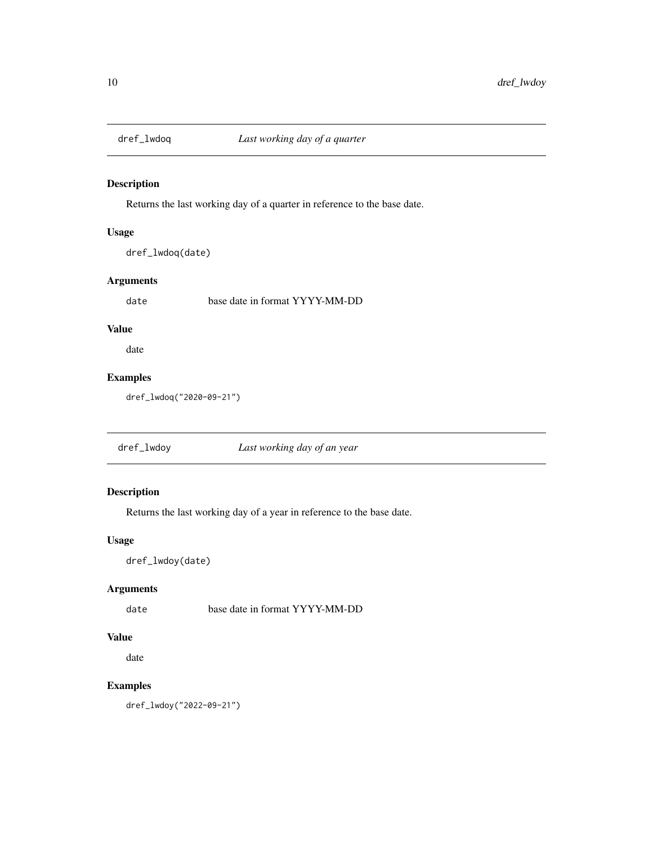<span id="page-9-0"></span>

Returns the last working day of a quarter in reference to the base date.

#### Usage

```
dref_lwdoq(date)
```
#### Arguments

date base date in format YYYY-MM-DD

#### Value

date

#### Examples

dref\_lwdoq("2020-09-21")

dref\_lwdoy *Last working day of an year*

#### Description

Returns the last working day of a year in reference to the base date.

#### Usage

dref\_lwdoy(date)

#### Arguments

date base date in format YYYY-MM-DD

#### Value

date

#### Examples

dref\_lwdoy("2022-09-21")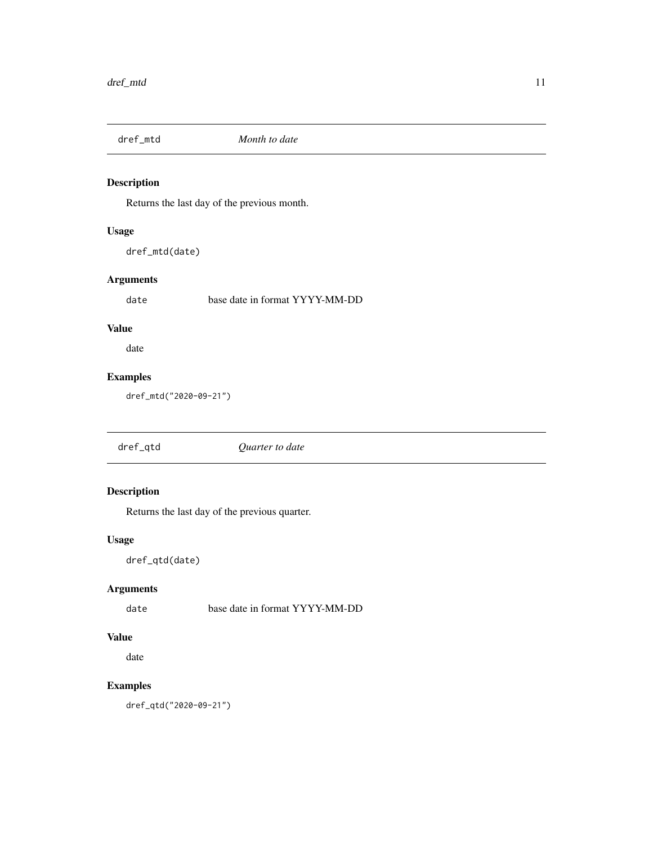<span id="page-10-0"></span>

Returns the last day of the previous month.

#### Usage

dref\_mtd(date)

#### Arguments

date base date in format YYYY-MM-DD

#### Value

date

#### Examples

dref\_mtd("2020-09-21")

dref\_qtd *Quarter to date*

#### Description

Returns the last day of the previous quarter.

#### Usage

dref\_qtd(date)

#### Arguments

date base date in format YYYY-MM-DD

#### Value

date

#### Examples

dref\_qtd("2020-09-21")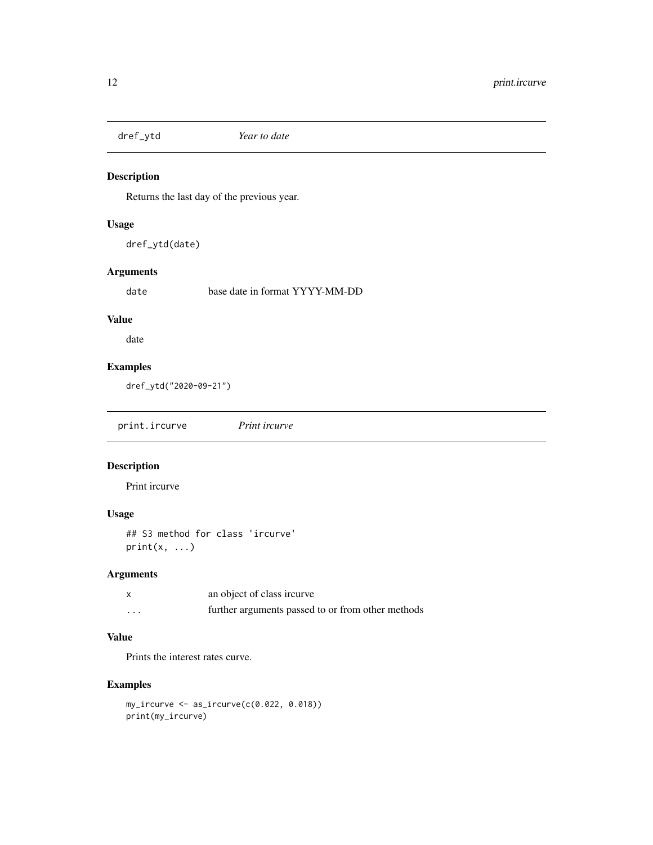<span id="page-11-0"></span>

Returns the last day of the previous year.

#### Usage

dref\_ytd(date)

#### Arguments

date base date in format YYYY-MM-DD

#### Value

date

#### Examples

dref\_ytd("2020-09-21")

print.ircurve *Print ircurve*

#### Description

Print ircurve

#### Usage

## S3 method for class 'ircurve'  $print(x, \ldots)$ 

#### Arguments

|          | an object of class ircurve                        |
|----------|---------------------------------------------------|
| $\cdots$ | further arguments passed to or from other methods |

#### Value

Prints the interest rates curve.

#### Examples

```
my_ircurve <- as_ircurve(c(0.022, 0.018))
print(my_ircurve)
```